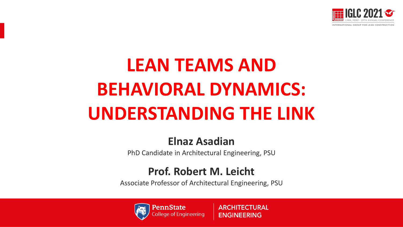

# **LEAN TEAMS AND BEHAVIORAL DYNAMICS: UNDERSTANDING THE LINK**

### **Elnaz Asadian**

PhD Candidate in Architectural Engineering, PSU

### **Prof. Robert M. Leicht**

Associate Professor of Architectural Engineering, PSU



**ARCHITECTURAL ENGINEERING**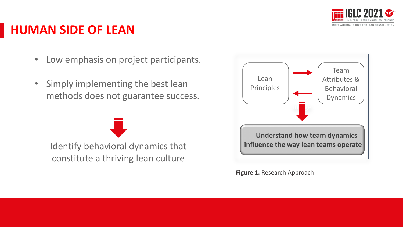

### **HUMAN SIDE OF LEAN**

- Low emphasis on project participants.
- Simply implementing the best lean methods does not guarantee success.

Identify behavioral dynamics that constitute a thriving lean culture



**Figure 1.** Research Approach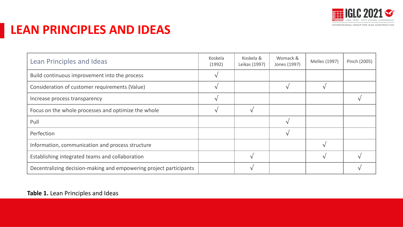

### **LEAN PRINCIPLES AND IDEAS**

| Lean Principles and Ideas                                          | Koskela<br>(1992) | Koskela &<br>Leikas (1997) | Womack &<br>Jones (1997) | Melles (1997) | Pinch (2005) |
|--------------------------------------------------------------------|-------------------|----------------------------|--------------------------|---------------|--------------|
| Build continuous improvement into the process                      |                   |                            |                          |               |              |
| Consideration of customer requirements (Value)                     |                   |                            |                          |               |              |
| Increase process transparency                                      |                   |                            |                          |               |              |
| Focus on the whole processes and optimize the whole                |                   |                            |                          |               |              |
| Pull                                                               |                   |                            |                          |               |              |
| Perfection                                                         |                   |                            |                          |               |              |
| Information, communication and process structure                   |                   |                            |                          |               |              |
| Establishing integrated teams and collaboration                    |                   |                            |                          |               |              |
| Decentralizing decision-making and empowering project participants |                   |                            |                          |               |              |

#### **Table 1.** Lean Principles and Ideas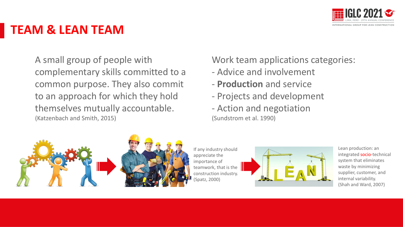

### **TEAM & LEAN TEAM**

A small group of people with complementary skills committed to a common purpose. They also commit to an approach for which they hold themselves mutually accountable. (Katzenbach and Smith, 2015)

#### Work team applications categories:

- Advice and involvement
- **Production** and service
- Projects and development
- Action and negotiation (Sundstrom et al. 1990)



If any industry should appreciate the importance of teamwork, that is the construction industry. (Spatz, 2000)



Lean production: an integrated socio-technical system that eliminates waste by minimizing supplier, customer, and internal variability. (Shah and Ward, 2007)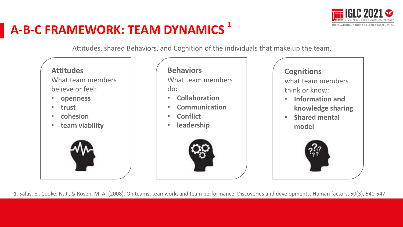

### **A-B-C FRAMEWORK: TEAM DYNAMICS 1**

Attitudes, shared Behaviors, and Cognition of the individuals that make up the team.

#### **Attitudes**

What team members believe or feel:

- **openness**
- **trust**
- **cohesion**
- **team viability**



#### **Behaviors**

What team members do:

- **Collaboration**
- **Communication**
- **Conflict**
- **leadership**



#### **Cognitions**

what team members think or know:

- **Information and knowledge sharing**
- **Shared mental model**



1. Salas, E., Cooke, N. J., & Rosen, M. A. (2008). On teams, teamwork, and team performance: Discoveries and developments. Human factors, 50(3), 540-547.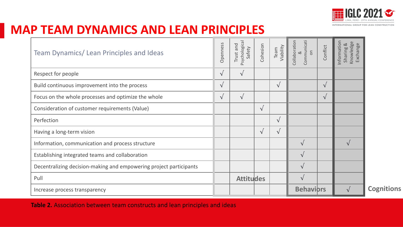

### **MAP TEAM DYNAMICS AND LEAN PRINCIPLES**

| Team Dynamics/Lean Principles and Ideas                            | Openness   | Psychological<br>Trust and<br>Safety | Cohesion   | Team<br>Viability | Collaboration<br>Communicati<br>$rac{}{6}$<br>$\infty$ | Conflict   | Information<br>Knowledge<br>Sharing &<br>Exchange |
|--------------------------------------------------------------------|------------|--------------------------------------|------------|-------------------|--------------------------------------------------------|------------|---------------------------------------------------|
| Respect for people                                                 | $\sqrt{ }$ | $\sqrt{ }$                           |            |                   |                                                        |            |                                                   |
| Build continuous improvement into the process                      | $\sqrt{ }$ |                                      |            | $\sqrt{ }$        |                                                        | $\sqrt{ }$ |                                                   |
| Focus on the whole processes and optimize the whole                | $\sqrt{ }$ | $\sqrt{ }$                           |            |                   |                                                        | $\sqrt{ }$ |                                                   |
| Consideration of customer requirements (Value)                     |            |                                      | $\sqrt{ }$ |                   |                                                        |            |                                                   |
| Perfection                                                         |            |                                      |            | $\sqrt{ }$        |                                                        |            |                                                   |
| Having a long-term vision                                          |            |                                      | $\sqrt{ }$ | $\sqrt{ }$        |                                                        |            |                                                   |
| Information, communication and process structure                   |            |                                      |            |                   | $\sqrt{ }$                                             |            | $\sqrt{ }$                                        |
| Establishing integrated teams and collaboration                    |            |                                      |            |                   | $\sqrt{ }$                                             |            |                                                   |
| Decentralizing decision-making and empowering project participants |            |                                      |            |                   | $\sqrt{ }$                                             |            |                                                   |
| Pull                                                               |            | <b>Attitudes</b>                     |            |                   | $\sqrt{ }$                                             |            |                                                   |
| Increase process transparency                                      |            |                                      |            | <b>Behavibrs</b>  |                                                        |            |                                                   |

**Behaviors Cognitions**

**Table 2.** Association between team constructs and lean principles and ideas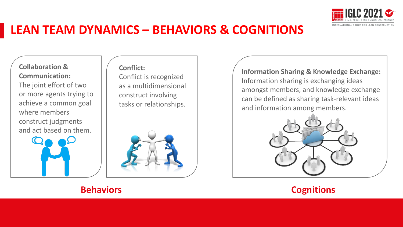

### **LEAN TEAM DYNAMICS – BEHAVIORS & COGNITIONS**

**Collaboration & Communication:** The joint effort of two or more agents trying to achieve a common goal where members construct judgments and act based on them.



**Conflict:**

Conflict is recognized as a multidimensional construct involving tasks or relationships.



**Information Sharing & Knowledge Exchange:** Information sharing is exchanging ideas amongst members, and knowledge exchange can be defined as sharing task-relevant ideas and information among members.



#### **Behaviors**

#### **Cognitions**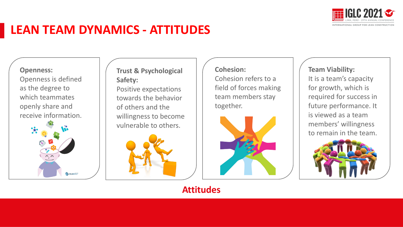

### **LEAN TEAM DYNAMICS - ATTITUDES**

#### **Openness:**

Openness is defined as the degree to which teammates openly share and receive information.



**Trust & Psychological Safety:** Positive expectations towards the behavior of others and the willingness to become vulnerable to others.



#### **Cohesion:** Cohesion refers to a field of forces making team members stay together.



#### **Team Viability:** It is a team's capacity for growth, which is required for success in future performance. It is viewed as a team members' willingness to remain in the team.



**Attitudes**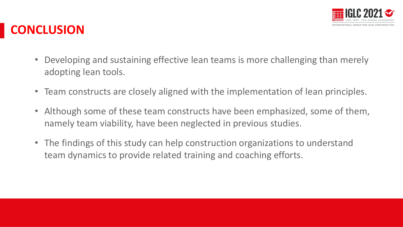

### **CONCLUSION**

- Developing and sustaining effective lean teams is more challenging than merely adopting lean tools.
- Team constructs are closely aligned with the implementation of lean principles.
- Although some of these team constructs have been emphasized, some of them, namely team viability, have been neglected in previous studies.
- The findings of this study can help construction organizations to understand team dynamics to provide related training and coaching efforts.